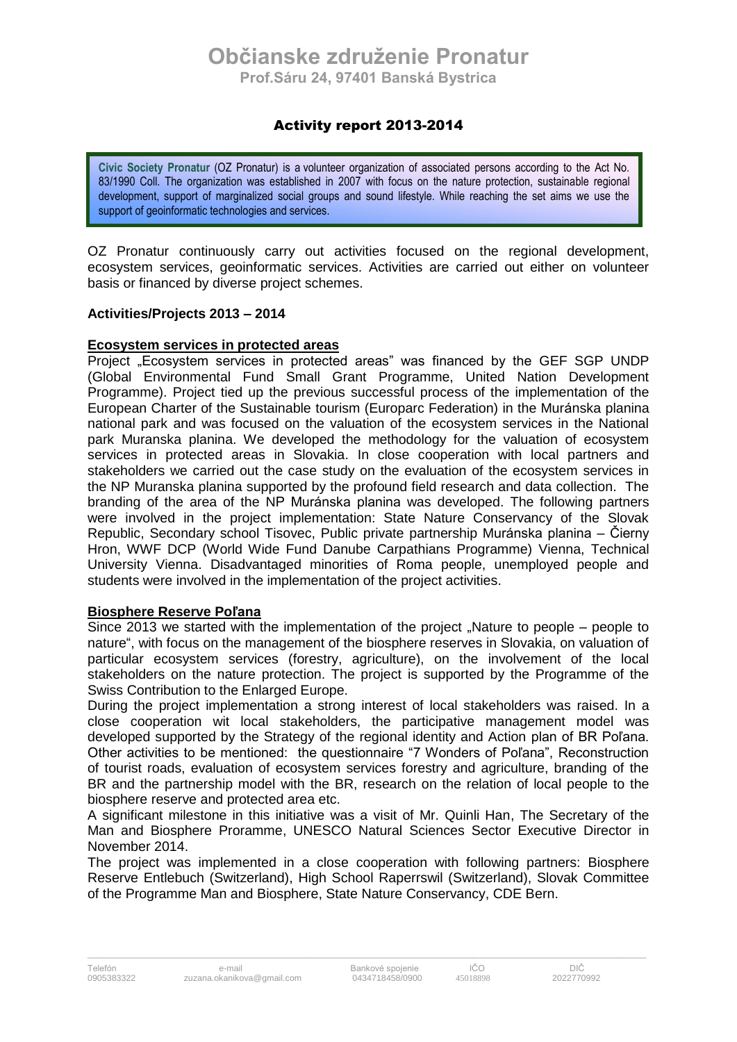## Activity report 2013-2014

**Civic Society Pronatur** (OZ Pronatur) is a volunteer organization of associated persons according to the Act No. 83/1990 Coll. The organization was established in 2007 with focus on the nature protection, sustainable regional development, support of marginalized social groups and sound lifestyle. While reaching the set aims we use the support of geoinformatic technologies and services.

OZ Pronatur continuously carry out activities focused on the regional development, ecosystem services, geoinformatic services. Activities are carried out either on volunteer basis or financed by diverse project schemes.

### **Activities/Projects 2013 – 2014**

#### **Ecosystem services in protected areas**

Project "Ecosystem services in protected areas" was financed by the GEF SGP UNDP (Global Environmental Fund Small Grant Programme, United Nation Development Programme). Project tied up the previous successful process of the implementation of the European Charter of the Sustainable tourism (Europarc Federation) in the Muránska planina national park and was focused on the valuation of the ecosystem services in the National park Muranska planina. We developed the methodology for the valuation of ecosystem services in protected areas in Slovakia. In close cooperation with local partners and stakeholders we carried out the case study on the evaluation of the ecosystem services in the NP Muranska planina supported by the profound field research and data collection. The branding of the area of the NP Muránska planina was developed. The following partners were involved in the project implementation: State Nature Conservancy of the Slovak Republic, Secondary school Tisovec, Public private partnership Muránska planina – Čierny Hron, WWF DCP (World Wide Fund Danube Carpathians Programme) Vienna, Technical University Vienna. Disadvantaged minorities of Roma people, unemployed people and students were involved in the implementation of the project activities.

#### **Biosphere Reserve Poľana**

Since 2013 we started with the implementation of the project "Nature to people – people to nature", with focus on the management of the biosphere reserves in Slovakia, on valuation of particular ecosystem services (forestry, agriculture), on the involvement of the local stakeholders on the nature protection. The project is supported by the Programme of the Swiss Contribution to the Enlarged Europe.

During the project implementation a strong interest of local stakeholders was raised. In a close cooperation wit local stakeholders, the participative management model was developed supported by the Strategy of the regional identity and Action plan of BR Poľana. Other activities to be mentioned: the questionnaire "7 Wonders of Poľana", Reconstruction of tourist roads, evaluation of ecosystem services forestry and agriculture, branding of the BR and the partnership model with the BR, research on the relation of local people to the biosphere reserve and protected area etc.

A significant milestone in this initiative was a visit of Mr. Quinli Han, The Secretary of the Man and Biosphere Proramme, UNESCO Natural Sciences Sector Executive Director in November 2014.

The project was implemented in a close cooperation with following partners: Biosphere Reserve Entlebuch (Switzerland), High School Raperrswil (Switzerland), Slovak Committee of the Programme Man and Biosphere, State Nature Conservancy, CDE Bern.